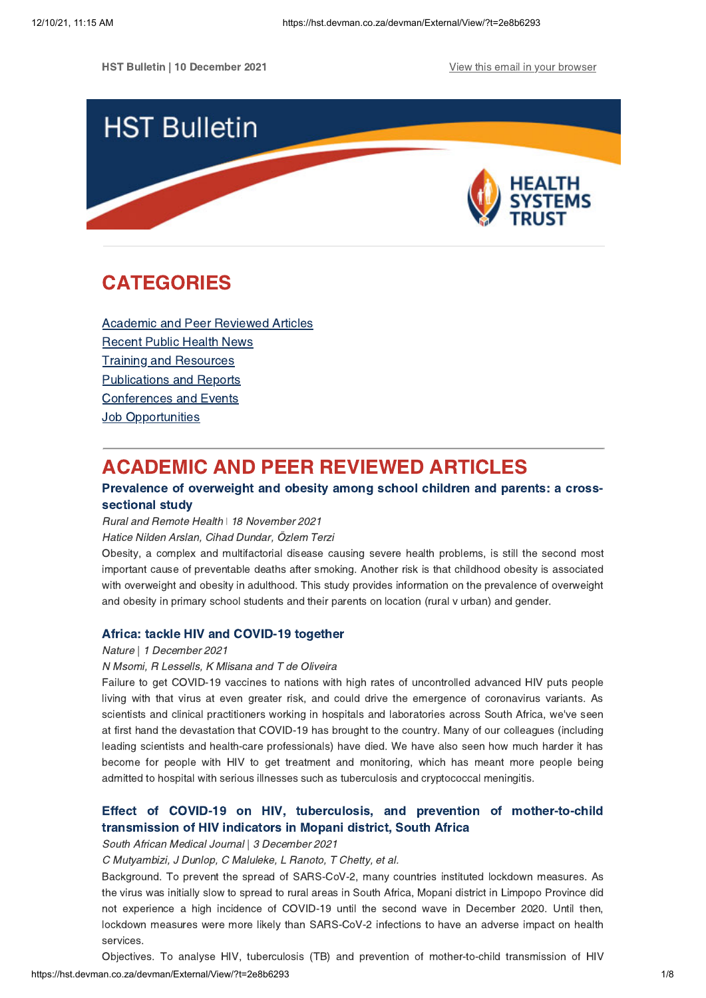**HST Bulletin | 10 December 2021 View this email in your [browser](https://hst.devman.co.za/devman/external/?t=ec24a0ee&t1=2e8b6293)** 



# <span id="page-0-1"></span>CATEGORIES

Academic and Peer [Reviewed](#page-0-0) Articles [Recent](#page-1-0) Public Health News Training and Resources [Publications](#page-5-0) and Reports [Conferences](#page-6-0) and Events **Job [Opportunities](#page-6-1)** 

# <span id="page-0-0"></span>ACADEMIC AND PEER REVIEWED ARTICLES

# Prevalence of [overweight](https://hst.devman.co.za/devman/external/?t=3234b8ec) and obesity among school children and parents: a crosssectional study

Rural and Remote Health ǀ 18 November 2021

Hatice Nilden Arslan, Cihad Dundar, Özlem Terzi

Obesity, a complex and multifactorial disease causing severe health problems, is still the second most important cause of preventable deaths after smoking. Another risk is that childhood obesity is associated with overweight and obesity in adulthood. This study provides information on the prevalence of overweight and obesity in primary school students and their parents on location (rural v urban) and gender.

# Africa: tackle HIV and [COVID-19](https://hst.devman.co.za/devman/external/?t=2984e529) together

### Nature | 1 December 2021

### N Msomi, R Lessells, K Mlisana and T de Oliveira

Failure to get COVID-19 vaccines to nations with high rates of uncontrolled advanced HIV puts people living with that virus at even greater risk, and could drive the emergence of coronavirus variants. As scientists and clinical practitioners working in hospitals and laboratories across South Africa, we've seen at first hand the devastation that COVID-19 has brought to the country. Many of our colleagues (including leading scientists and health-care professionals) have died. We have also seen how much harder it has become for people with HIV to get treatment and monitoring, which has meant more people being admitted to hospital with serious illnesses such as tuberculosis and cryptococcal meningitis.

# Effect of COVID-19 on HIV, tuberculosis, and prevention of [mother-to-child](https://hst.devman.co.za/devman/external/?t=6f94fd27) transmission of HIV indicators in Mopani district, South Africa

South African Medical Journal | 3 December 2021

C Mutyambizi, J Dunlop, C Maluleke, L Ranoto, T Chetty, et al.

Background. To prevent the spread of SARS-CoV-2, many countries instituted lockdown measures. As the virus was initially slow to spread to rural areas in South Africa, Mopani district in Limpopo Province did not experience a high incidence of COVID-19 until the second wave in December 2020. Until then, lockdown measures were more likely than SARS-CoV-2 infections to have an adverse impact on health services.

Objectives. To analyse HIV, tuberculosis (TB) and prevention of mother-to-child transmission of HIV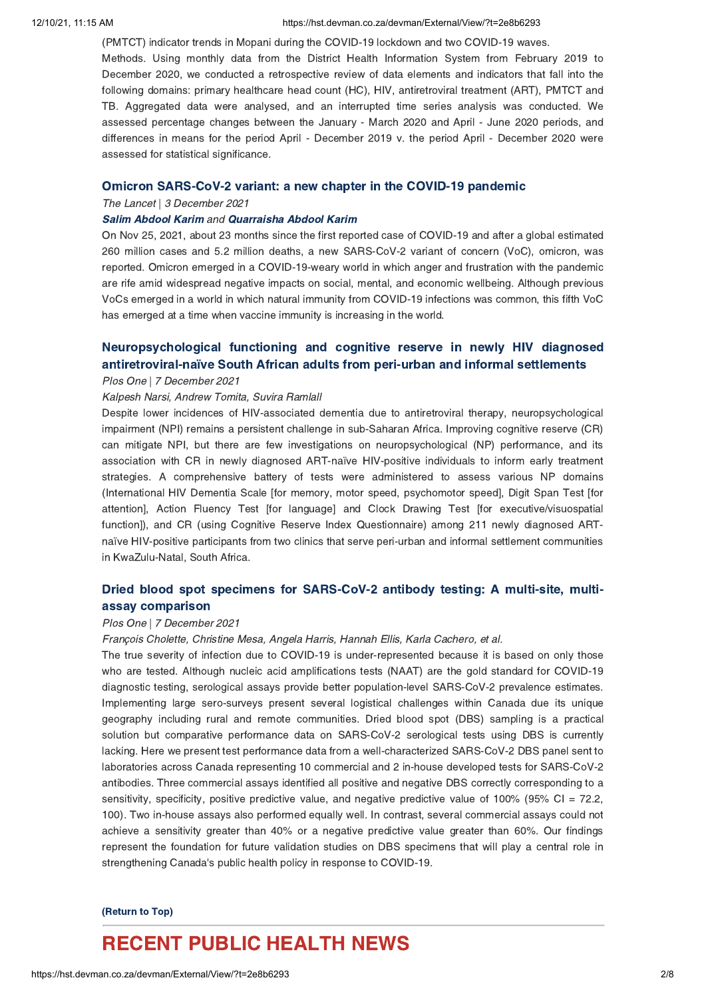#### 12/10/21, 11:15 AM https://hst.devman.co.za/devman/External/View/?t=2e8b6293

(PMTCT) indicator trends in Mopani during the COVID-19 lockdown and two COVID-19 waves.

Methods. Using monthly data from the District Health Information System from February 2019 to December 2020, we conducted a retrospective review of data elements and indicators that fall into the following domains: primary healthcare head count (HC), HIV, antiretroviral treatment (ART), PMTCT and TB. Aggregated data were analysed, and an interrupted time series analysis was conducted. We assessed percentage changes between the January - March 2020 and April - June 2020 periods, and differences in means for the period April - December 2019 v. the period April - December 2020 were assessed for statistical significance.

### Omicron [SARS-CoV-2](https://hst.devman.co.za/devman/external/?t=56555435) variant: a new chapter in the COVID-19 pandemic

The Lancet | 3 December 2021

#### Salim [Abdool](https://hst.devman.co.za/devman/external/?t=2963128) Karim and [Quarraisha](https://hst.devman.co.za/devman/external/?t=2963128) Abdool Karim

On Nov 25, 2021, about 23 months since the first reported case of COVID-19 and after a global estimated 260 million cases and 5.2 million deaths, a new SARS-CoV-2 variant of concern (VoC), omicron, was reported. Omicron emerged in a COVID-19-weary world in which anger and frustration with the pandemic are rife amid widespread negative impacts on social, mental, and economic wellbeing. Although previous VoCs emerged in a world in which natural immunity from COVID-19 infections was common, this fifth VoC has emerged at a time when vaccine immunity is increasing in the world.

# [Neuropsychological](https://hst.devman.co.za/devman/external/?t=471f4ae5) functioning and cognitive reserve in newly HIV diagnosed antiretroviral-naïve South African adults from peri-urban and informal settlements

## Plos One | 7 December 2021

## Kalpesh Narsi, Andrew Tomita, Suvira Ramlall

Despite lower incidences of HIV-associated dementia due to antiretroviral therapy, neuropsychological impairment (NPI) remains a persistent challenge in sub-Saharan Africa. Improving cognitive reserve (CR) can mitigate NPI, but there are few investigations on neuropsychological (NP) performance, and its association with CR in newly diagnosed ART-naïve HIV-positive individuals to inform early treatment strategies. A comprehensive battery of tests were administered to assess various NP domains (International HIV Dementia Scale [for memory, motor speed, psychomotor speed], Digit Span Test [for attention], Action Fluency Test [for language] and Clock Drawing Test [for executive/visuospatial function]), and CR (using Cognitive Reserve Index Questionnaire) among 211 newly diagnosed ARTnaïve HIV-positive participants from two clinics that serve peri-urban and informal settlement communities in KwaZulu-Natal, South Africa.

# Dried blood spot specimens for [SARS-CoV-2](https://hst.devman.co.za/devman/external/?t=c38ae024) antibody testing: A multi-site, multiassay comparison

#### Plos One | 7 December 2021

## François Cholette, Christine Mesa, Angela Harris, Hannah Ellis, Karla Cachero, et al.

The true severity of infection due to COVID-19 is under-represented because it is based on only those who are tested. Although nucleic acid amplifications tests (NAAT) are the gold standard for COVID-19 diagnostic testing, serological assays provide better population-level SARS-CoV-2 prevalence estimates. Implementing large sero-surveys present several logistical challenges within Canada due its unique geography including rural and remote communities. Dried blood spot (DBS) sampling is a practical solution but comparative performance data on SARS-CoV-2 serological tests using DBS is currently lacking. Here we present test performance data from a well-characterized SARS-CoV-2 DBS panel sent to laboratories across Canada representing 10 commercial and 2 in-house developed tests for SARS-CoV-2 antibodies. Three commercial assays identified all positive and negative DBS correctly corresponding to a sensitivity, specificity, positive predictive value, and negative predictive value of 100% (95% CI = 72.2, 100). Two in-house assays also performed equally well. In contrast, several commercial assays could not achieve a sensitivity greater than 40% or a negative predictive value greater than 60%. Our findings represent the foundation for future validation studies on DBS specimens that will play a central role in strengthening Canada's public health policy in response to COVID-19.

#### [\(Return](#page-0-1) to Top)

# <span id="page-1-0"></span>RECENT PUBLIC HEALTH NEWS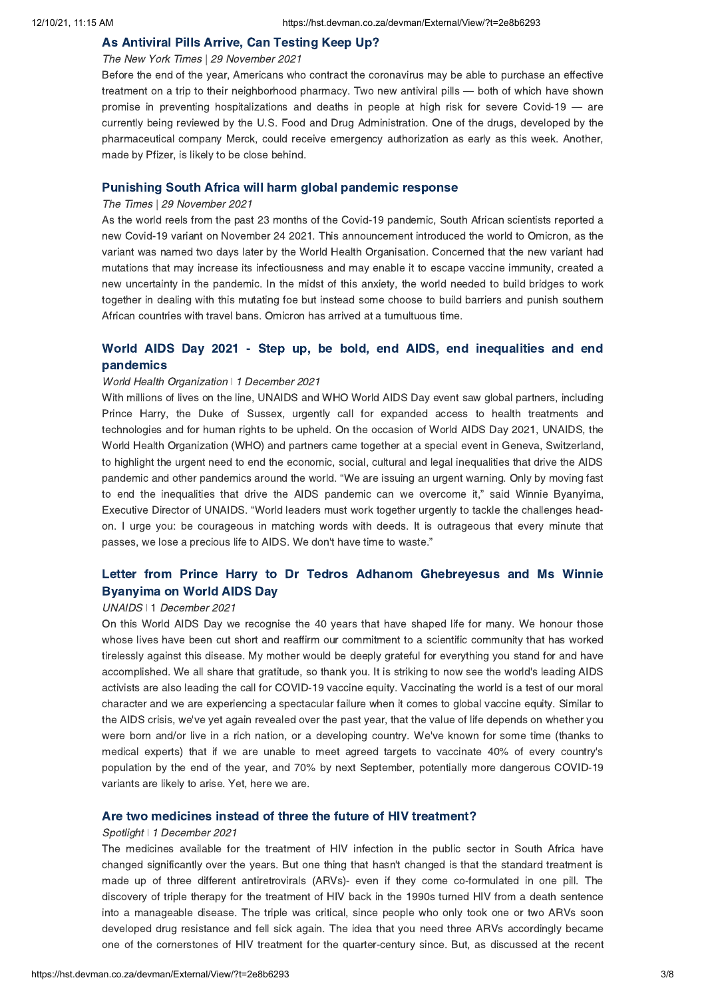## As [Antiviral](https://hst.devman.co.za/devman/external/?t=99af822) Pills Arrive, Can Testing Keep Up?

### The New York Times | 29 November 2021

Before the end of the year, Americans who contract the coronavirus may be able to purchase an effective treatment on a trip to their neighborhood pharmacy. Two new antiviral pills — both of which have shown promise in preventing hospitalizations and deaths in people at high risk for severe Covid-19 — are currently being reviewed by the U.S. Food and Drug Administration. One of the drugs, developed by the pharmaceutical company Merck, could receive emergency authorization as early as this week. Another, made by Pfizer, is likely to be close behind.

# [Punishing](https://hst.devman.co.za/devman/external/?t=f05b4f30) South Africa will harm global pandemic response

#### The Times | 29 November 2021

As the world reels from the past 23 months of the Covid-19 pandemic, South African scientists reported a new Covid-19 variant on November 24 2021. This announcement introduced the world to Omicron, as the variant was named two days later by the World Health Organisation. Concerned that the new variant had mutations that may increase its infectiousness and may enable it to escape vaccine immunity, created a new uncertainty in the pandemic. In the midst of this anxiety, the world needed to build bridges to work together in dealing with this mutating foe but instead some choose to build barriers and punish southern African countries with travel bans. Omicron has arrived at a tumultuous time.

# World AIDS Day 2021 - Step up, be bold, end AIDS, end inequalities and end [pandemics](https://hst.devman.co.za/devman/external/?t=d0e6ad24)

### World Health Organization | 1 December 2021

With millions of lives on the line, UNAIDS and WHO World AIDS Day event saw global partners, including Prince Harry, the Duke of Sussex, urgently call for expanded access to health treatments and technologies and for human rights to be upheld. On the occasion of World AIDS Day 2021, UNAIDS, the World Health Organization (WHO) and partners came together at a special event in Geneva, Switzerland, to highlight the urgent need to end the economic, social, cultural and legal inequalities that drive the AIDS pandemic and other pandemics around the world. "We are issuing an urgent warning. Only by moving fast to end the inequalities that drive the AIDS pandemic can we overcome it," said Winnie Byanyima, Executive Director of UNAIDS. "World leaders must work together urgently to tackle the challenges headon. I urge you: be courageous in matching words with deeds. It is outrageous that every minute that passes, we lose a precious life to AIDS. We don't have time to waste."

# Letter from Prince Harry to Dr Tedros Adhanom [Ghebreyesus](https://hst.devman.co.za/devman/external/?t=21d41726) and Ms Winnie Byanyima on World AIDS Day

#### UNAIDS | 1 December 2021

On this World AIDS Day we recognise the 40 years that have shaped life for many. We honour those whose lives have been cut short and reaffirm our commitment to a scientific community that has worked tirelessly against this disease. My mother would be deeply grateful for everything you stand for and have accomplished. We all share that gratitude, so thank you. It is striking to now see the world's leading AIDS activists are also leading the call for COVID-19 vaccine equity. Vaccinating the world is a test of our moral character and we are experiencing a spectacular failure when it comes to global vaccine equity. Similar to the AIDS crisis, we've yet again revealed over the past year, that the value of life depends on whether you were born and/or live in a rich nation, or a developing country. We've known for some time (thanks to medical experts) that if we are unable to meet agreed targets to vaccinate 40% of every country's population by the end of the year, and 70% by next September, potentially more dangerous COVID-19 variants are likely to arise. Yet, here we are.

## Are two medicines instead of three the future of HIV [treatment?](https://hst.devman.co.za/devman/external/?t=91db5c20)

# Spotlight | 1 December 2021

The medicines available for the treatment of HIV infection in the public sector in South Africa have changed significantly over the years. But one thing that hasn't changed is that the standard treatment is made up of three different antiretrovirals (ARVs)- even if they come co-formulated in one pill. The discovery of triple therapy for the treatment of HIV back in the 1990s turned HIV from a death sentence into a manageable disease. The triple was critical, since people who only took one or two ARVs soon developed drug resistance and fell sick again. The idea that you need three ARVs accordingly became one of the cornerstones of HIV treatment for the quarter-century since. But, as discussed at the recent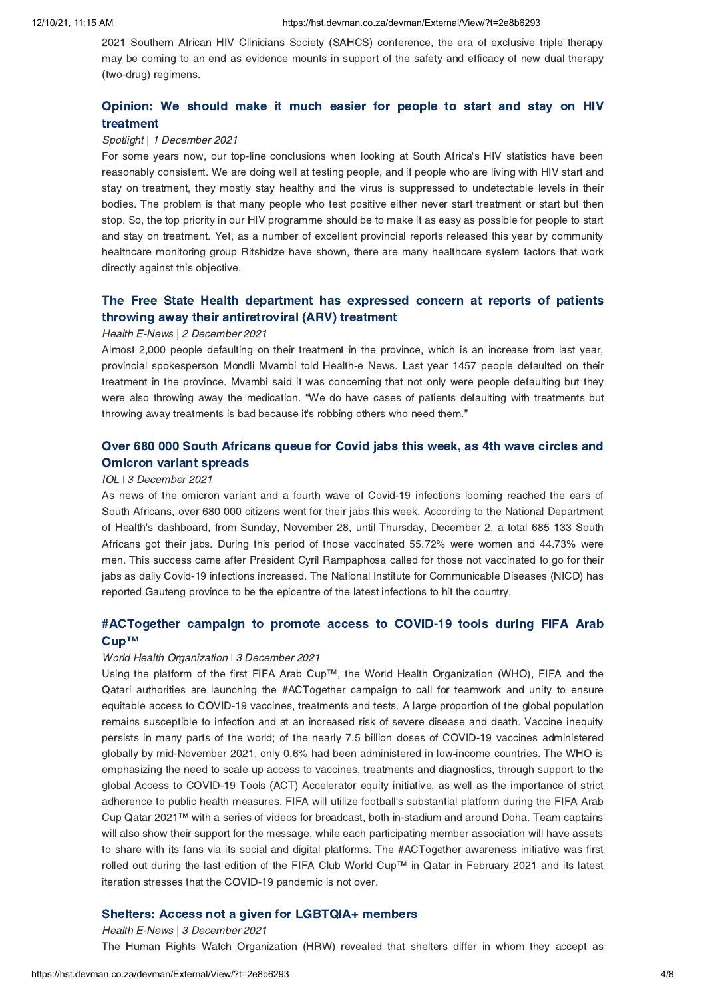2021 Southern African HIV Clinicians Society (SAHCS) conference, the era of exclusive triple therapy may be coming to an end as evidence mounts in support of the safety and efficacy of new dual therapy (two-drug) regimens.

# Opinion: We should make it much easier for people to start and stay on HIV [treatment](https://hst.devman.co.za/devman/external/?t=c0e407e1)

# Spotlight | 1 December 2021

For some years now, our top-line conclusions when looking at South Africa's HIV statistics have been reasonably consistent. We are doing well at testing people, and if people who are living with HIV start and stay on treatment, they mostly stay healthy and the virus is suppressed to undetectable levels in their bodies. The problem is that many people who test positive either never start treatment or start but then stop. So, the top priority in our HIV programme should be to make it as easy as possible for people to start and stay on treatment. Yet, as a number of excellent provincial reports released this year by community healthcare monitoring group Ritshidze have shown, there are many healthcare system factors that work directly against this objective.

# The Free State Health department has expressed concern at reports of patients throwing away their [antiretroviral](https://hst.devman.co.za/devman/external/?t=e2c8c622) (ARV) treatment

## Health E-News | 2 December 2021

Almost 2,000 people defaulting on their treatment in the province, which is an increase from last year, provincial spokesperson Mondli Mvambi told Health-e News. Last year 1457 people defaulted on their treatment in the province. Mvambi said it was concerning that not only were people defaulting but they were also throwing away the medication. "We do have cases of patients defaulting with treatments but throwing away treatments is bad because it's robbing others who need them."

# Over 680 000 South Africans queue for Covid jabs this week, as 4th wave circles and [Omicron](https://hst.devman.co.za/devman/external/?t=33c48eeb) variant spreads

#### IOL ǀ 3 December 2021

As news of the omicron variant and a fourth wave of Covid-19 infections looming reached the ears of South Africans, over 680 000 citizens went for their jabs this week. According to the National Department of Health's dashboard, from Sunday, November 28, until Thursday, December 2, a total 685 133 South Africans got their jabs. During this period of those vaccinated 55.72% were women and 44.73% were men. This success came after President Cyril Rampaphosa called for those not vaccinated to go for their jabs as daily Covid-19 infections increased. The National Institute for Communicable Diseases (NICD) has reported Gauteng province to be the epicentre of the latest infections to hit the country.

# [#ACTogether](https://hst.devman.co.za/devman/external/?t=beabcb2c) campaign to promote access to COVID-19 tools during FIFA Arab Cup™

#### World Health Organization ǀ 3 December 2021

Using the platform of the first FIFA Arab Cup™, the World Health Organization (WHO), FIFA and the Qatari authorities are launching the #ACTogether campaign to call for teamwork and unity to ensure equitable access to COVID-19 vaccines, treatments and tests. A large proportion of the global population remains susceptible to infection and at an increased risk of severe disease and death. Vaccine inequity persists in many parts of the world; of the nearly 7.5 billion doses of COVID-19 vaccines administered globally by mid-November 2021, only 0.6% had been administered in low‑income countries. The WHO is emphasizing the need to scale up access to vaccines, treatments and diagnostics, through support to the global Access to COVID-19 Tools (ACT) Accelerator equity initiative, as well as the importance of strict adherence to public health measures. FIFA will utilize football's substantial platform during the FIFA Arab Cup Qatar 2021™ with a series of videos for broadcast, both in-stadium and around Doha. Team captains will also show their support for the message, while each participating member association will have assets to share with its fans via its social and digital platforms. The #ACTogether awareness initiative was first rolled out during the last edition of the FIFA Club World Cup™ in Qatar in February 2021 and its latest iteration stresses that the COVID-19 pandemic is not over.

## Shelters: Access not a given for [LGBTQIA+](https://hst.devman.co.za/devman/external/?t=6aeca81f) members

Health E-News | 3 December 2021 The Human Rights Watch Organization (HRW) revealed that shelters differ in whom they accept as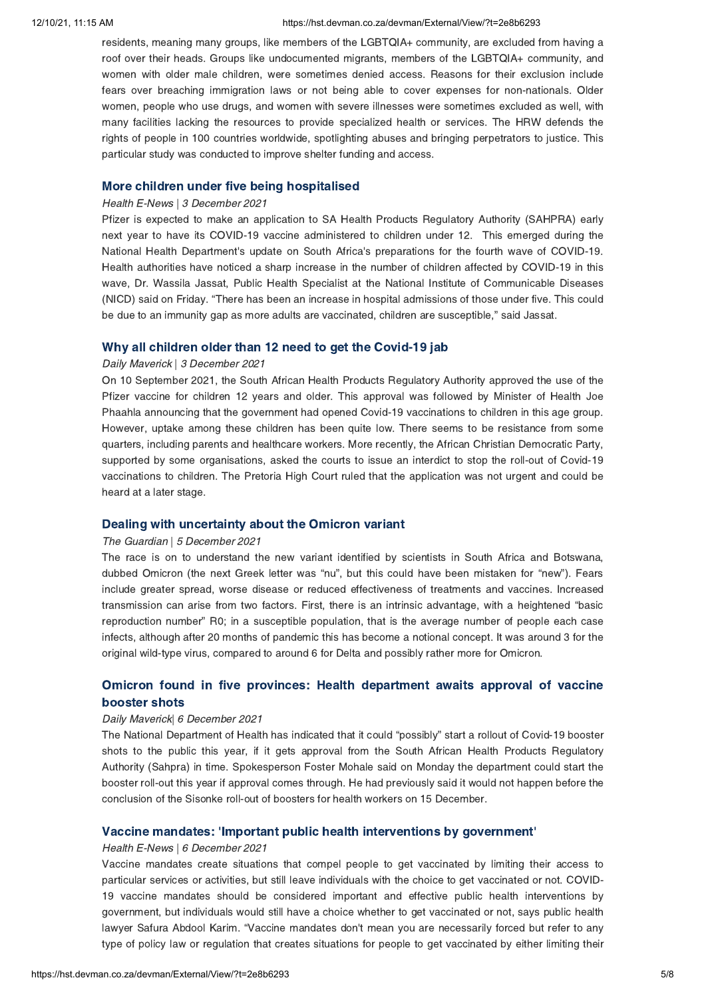#### 12/10/21, 11:15 AM https://hst.devman.co.za/devman/External/View/?t=2e8b6293

residents, meaning many groups, like members of the LGBTQIA+ community, are excluded from having a roof over their heads. Groups like undocumented migrants, members of the LGBTQIA+ community, and women with older male children, were sometimes denied access. Reasons for their exclusion include fears over breaching immigration laws or not being able to cover expenses for non-nationals. Older women, people who use drugs, and women with severe illnesses were sometimes excluded as well, with many facilities lacking the resources to provide specialized health or services. The HRW defends the rights of people in 100 countries worldwide, spotlighting abuses and bringing perpetrators to justice. This particular study was conducted to improve shelter funding and access.

## More children under five being [hospitalised](https://hst.devman.co.za/devman/external/?t=99f553e0)

#### Health E-News | 3 December 2021

Pfizer is expected to make an application to SA Health Products Regulatory Authority (SAHPRA) early next year to have its COVID-19 vaccine administered to children under 12. This emerged during the National Health Department's update on South Africa's preparations for the fourth wave of COVID-19. Health authorities have noticed a sharp increase in the number of children affected by COVID-19 in this wave, Dr. Wassila Jassat, Public Health Specialist at the National Institute of Communicable Diseases (NICD) said on Friday. "There has been an increase in hospital admissions of those under five. This could be due to an immunity gap as more adults are vaccinated, children are susceptible," said Jassat.

## Why all children older than 12 need to get the [Covid-19](https://hst.devman.co.za/devman/external/?t=bbda1221) jab

### Daily Maverick | 3 December 2021

On 10 September 2021, the South African Health Products Regulatory Authority approved the use of the Pfizer vaccine for children 12 years and older. This approval was followed by Minister of Health Joe Phaahla announcing that the government had opened Covid-19 vaccinations to children in this age group. However, uptake among these children has been quite low. There seems to be resistance from some quarters, including parents and healthcare workers. More recently, the African Christian Democratic Party, supported by some organisations, asked the courts to issue an interdict to stop the roll-out of Covid-19 vaccinations to children. The Pretoria High Court ruled that the application was not urgent and could be heard at a later stage.

## Dealing with [uncertainty](https://hst.devman.co.za/devman/external/?t=a0fa1ada) about the Omicron variant

## The Guardian | 5 December 2021

The race is on to understand the new variant identified by scientists in South Africa and Botswana, dubbed Omicron (the next Greek letter was "nu", but this could have been mistaken for "new"). Fears include greater spread, worse disease or reduced effectiveness of treatments and vaccines. Increased transmission can arise from two factors. First, there is an intrinsic advantage, with a heightened "basic reproduction number" R0; in a susceptible population, that is the average number of people each case infects, although after 20 months of pandemic this has become a notional concept. It was around 3 for the original wild-type virus, compared to around 6 for Delta and possibly rather more for Omicron.

# Omicron found in five provinces: Health [department](https://hst.devman.co.za/devman/external/?t=2be1571b) awaits approval of vaccine booster shots

## Daily Maverick| 6 December 2021

The National Department of Health has indicated that it could "possibly" start a rollout of Covid-19 booster shots to the public this year, if it gets approval from the South African Health Products Regulatory Authority (Sahpra) in time. Spokesperson Foster Mohale said on Monday the department could start the booster roll-out this year if approval comes through. He had previously said it would not happen before the conclusion of the Sisonke roll-out of boosters for health workers on 15 December.

## Vaccine mandates: 'Important public health [interventions](https://hst.devman.co.za/devman/external/?t=5aea02dc) by government'

### Health E-News | 6 December 2021

Vaccine mandates create situations that compel people to get vaccinated by limiting their access to particular services or activities, but still leave individuals with the choice to get vaccinated or not. COVID-19 vaccine mandates should be considered important and effective public health interventions by government, but individuals would still have a choice whether to get vaccinated or not, says public health lawyer Safura Abdool Karim. "Vaccine mandates don't mean you are necessarily forced but refer to any type of policy law or regulation that creates situations for people to get vaccinated by either limiting their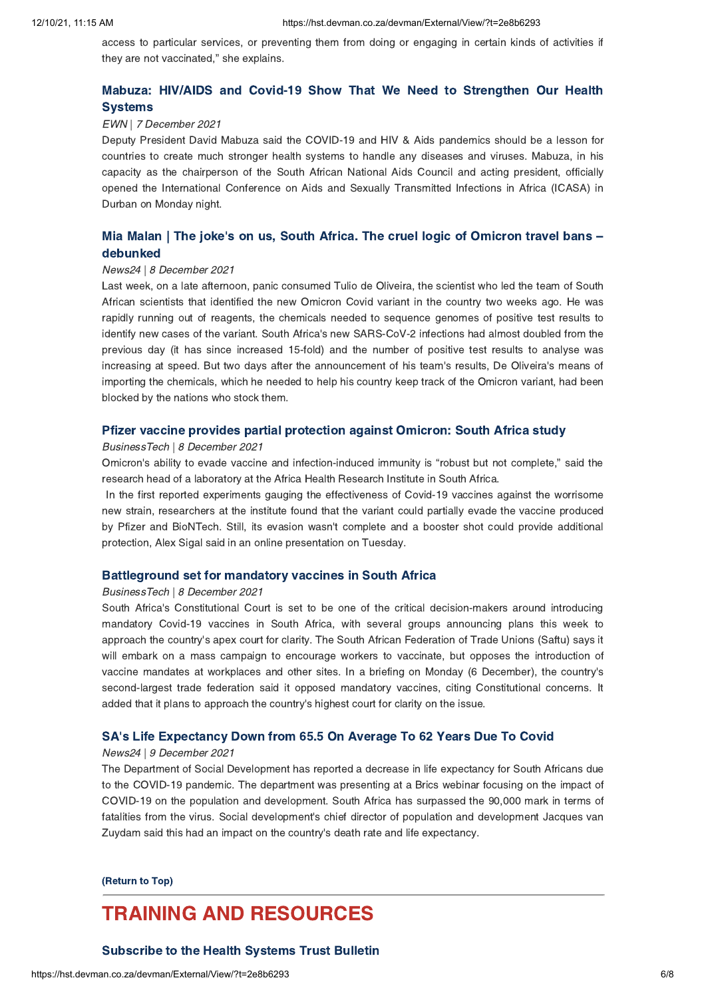access to particular services, or preventing them from doing or engaging in certain kinds of activities if they are not vaccinated," she explains.

# Mabuza: HIV/AIDS and Covid-19 Show That We Need to [Strengthen](https://hst.devman.co.za/devman/external/?t=7ccec11d) Our Health **Systems**

## EWN | 7 December 2021

Deputy President David Mabuza said the COVID-19 and HIV & Aids pandemics should be a lesson for countries to create much stronger health systems to handle any diseases and viruses. Mabuza, in his capacity as the chairperson of the South African National Aids Council and acting president, officially opened the International Conference on Aids and Sexually Transmitted Infections in Africa (ICASA) in Durban on Monday night.

# Mia Malan | The joke's on us, South Africa. The cruel logic of Omicron travel bans [debunked](https://hst.devman.co.za/devman/external/?t=cdca89e6)

#### News24 | 8 December 2021

Last week, on a late afternoon, panic consumed Tulio de Oliveira, the scientist who led the team of South African scientists that identified the new Omicron Covid variant in the country two weeks ago. He was rapidly running out of reagents, the chemicals needed to sequence genomes of positive test results to identify new cases of the variant. South Africa's new SARS-CoV-2 infections had almost doubled from the previous day (it has since increased 15-fold) and the number of positive test results to analyse was increasing at speed. But two days after the announcement of his team's results, De Oliveira's means of importing the chemicals, which he needed to help his country keep track of the Omicron variant, had been blocked by the nations who stock them.

## Pfizer vaccine provides partial [protection](https://hst.devman.co.za/devman/external/?t=58b1c627) against Omicron: South Africa study

## BusinessTech | 8 December 2021

Omicron's ability to evade vaccine and infection-induced immunity is "robust but not complete," said the research head of a laboratory at the Africa Health Research Institute in South Africa.

In the first reported experiments gauging the effectiveness of Covid-19 vaccines against the worrisome new strain, researchers at the institute found that the variant could partially evade the vaccine produced by Pfizer and BioNTech. Still, its evasion wasn't complete and a booster shot could provide additional protection, Alex Sigal said in an online presentation on Tuesday.

## [Battleground](https://hst.devman.co.za/devman/external/?t=4b806059) set for mandatory vaccines in South Africa

#### BusinessTech | 8 December 2021

South Africa's Constitutional Court is set to be one of the critical decision-makers around introducing mandatory Covid-19 vaccines in South Africa, with several groups announcing plans this week to approach the country's apex court for clarity. The South African Federation of Trade Unions (Saftu) says it will embark on a mass campaign to encourage workers to vaccinate, but opposes the introduction of vaccine mandates at workplaces and other sites. In a briefing on Monday (6 December), the country's second-largest trade federation said it opposed mandatory vaccines, citing Constitutional concerns. It added that it plans to approach the country's highest court for clarity on the issue.

## SA's Life [Expectancy](https://hst.devman.co.za/devman/external/?t=d6679c9a) Down from 65.5 On Average To 62 Years Due To Covid

#### News24 | 9 December 2021

The Department of Social Development has reported a decrease in life expectancy for South Africans due to the COVID-19 pandemic. The department was presenting at a Brics webinar focusing on the impact of COVID-19 on the population and development. South Africa has surpassed the 90,000 mark in terms of fatalities from the virus. Social development's chief director of population and development Jacques van Zuydam said this had an impact on the country's death rate and life expectancy.

[\(Return](#page-0-1) to Top)

# <span id="page-5-0"></span>TRAINING AND RESOURCES

# [Subscribe](https://hst.devman.co.za/devman/external/?t=570485b) to the Health Systems Trust Bulletin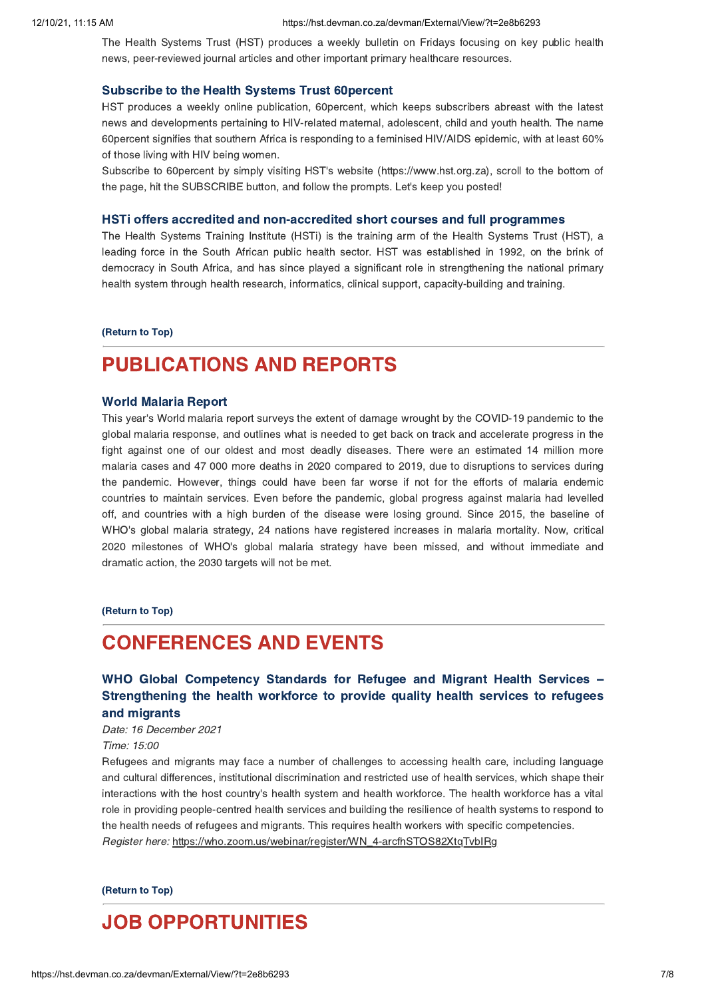The Health Systems Trust (HST) produces a weekly bulletin on Fridays focusing on key public health news, peer-reviewed journal articles and other important primary healthcare resources.

#### [Subscribe](https://hst.devman.co.za/devman/external/?t=570485b) to the Health Systems Trust 60percent

HST produces a weekly online publication, 60percent, which keeps subscribers abreast with the latest news and developments pertaining to HIV-related maternal, adolescent, child and youth health. The name 60percent signifies that southern Africa is responding to a feminised HIV/AIDS epidemic, with at least 60% of those living with HIV being women.

Subscribe to 60percent by simply visiting HST's website (https://www.hst.org.za), scroll to the bottom of the page, hit the SUBSCRIBE button, and follow the prompts. Let's keep you posted!

#### HSTi offers accredited and [non-accredited](https://hst.devman.co.za/devman/external/?t=2755069c) short courses and full programmes

The Health Systems Training Institute (HSTi) is the training arm of the Health Systems Trust (HST), a leading force in the South African public health sector. HST was established in 1992, on the brink of democracy in South Africa, and has since played a significant role in strengthening the national primary health system through health research, informatics, clinical support, capacity-building and training.

[\(Return](#page-0-1) to Top)

# PUBLICATIONS AND REPORTS

#### World [Malaria](https://hst.devman.co.za/devman/external/?t=c750f55) Report

This year's World malaria report surveys the extent of damage wrought by the COVID-19 pandemic to the global malaria response, and outlines what is needed to get back on track and accelerate progress in the fight against one of our oldest and most deadly diseases. There were an estimated 14 million more malaria cases and 47 000 more deaths in 2020 compared to 2019, due to disruptions to services during the pandemic. However, things could have been far worse if not for the efforts of malaria endemic countries to maintain services. Even before the pandemic, global progress against malaria had levelled off, and countries with a high burden of the disease were losing ground. Since 2015, the baseline of WHO's global malaria strategy, 24 nations have registered increases in malaria mortality. Now, critical 2020 milestones of WHO's global malaria strategy have been missed, and without immediate and dramatic action, the 2030 targets will not be met.

#### [\(Return](#page-0-1) to Top)

# <span id="page-6-0"></span>CONFERENCES AND EVENTS

# WHO Global Competency Standards for Refugee and Migrant Health Services – [Strengthening](https://hst.devman.co.za/devman/external/?t=975c4b96) the health workforce to provide quality health services to refugees and migrants

Date: 16 December 2021 Time: 15:00

Refugees and migrants may face a number of challenges to accessing health care, including language and cultural differences, institutional discrimination and restricted use of health services, which shape their interactions with the host country's health system and health workforce. The health workforce has a vital role in providing people-centred health services and building the resilience of health systems to respond to the health needs of refugees and migrants. This requires health workers with specific competencies. Register here: https://who.zoom.us/webinar/register/WN\_4-arcfhSTOS82XtqTvbIRg

[\(Return](#page-0-1) to Top)

# <span id="page-6-1"></span>JOB OPPORTUNITIES